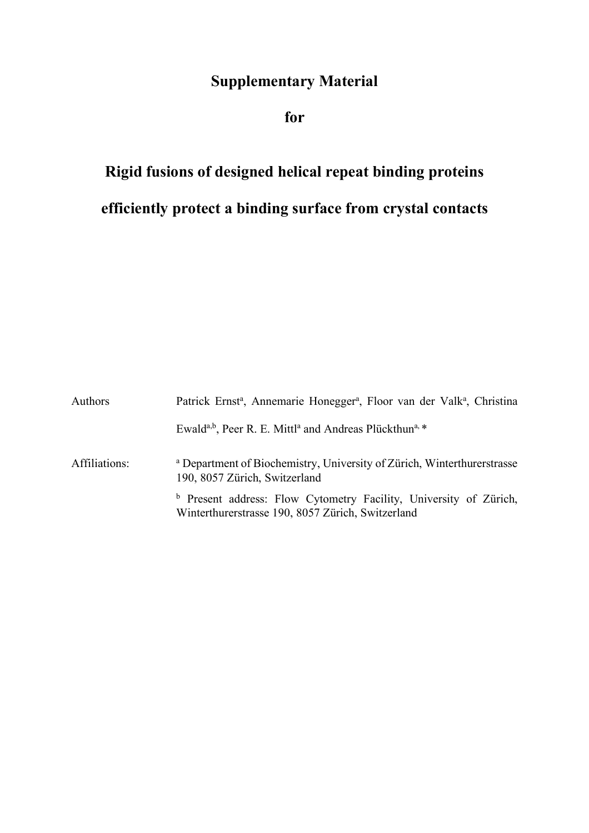## **Supplementary Material**

**for**

## **Rigid fusions of designed helical repeat binding proteins efficiently protect a binding surface from crystal contacts**

| Authors       | Patrick Ernst <sup>a</sup> , Annemarie Honegger <sup>a</sup> , Floor van der Valk <sup>a</sup> , Christina                        |  |  |
|---------------|-----------------------------------------------------------------------------------------------------------------------------------|--|--|
|               | Ewald <sup>a,b</sup> , Peer R. E. Mittl <sup>a</sup> and Andreas Plückthun <sup>a, *</sup>                                        |  |  |
| Affiliations: | <sup>a</sup> Department of Biochemistry, University of Zürich, Winterthurerstrasse<br>190, 8057 Zürich, Switzerland               |  |  |
|               | <sup>b</sup> Present address: Flow Cytometry Facility, University of Zürich,<br>Winterthurerstrasse 190, 8057 Zürich, Switzerland |  |  |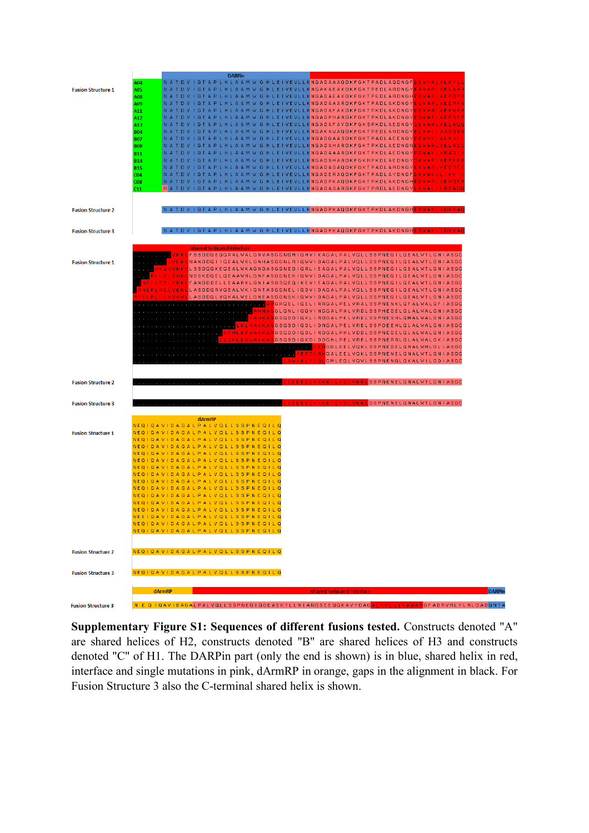

**Supplementary Figure S1: Sequences of different fusions tested.** Constructs denoted "A" are shared helices of H2, constructs denoted "B" are shared helices of H3 and constructs denoted "C" of H1. The DARPin part (only the end is shown) is in blue, shared helix in red, interface and single mutations in pink, dArmRP in orange, gaps in the alignment in black. For Fusion Structure 3 also the C-terminal shared helix is shown.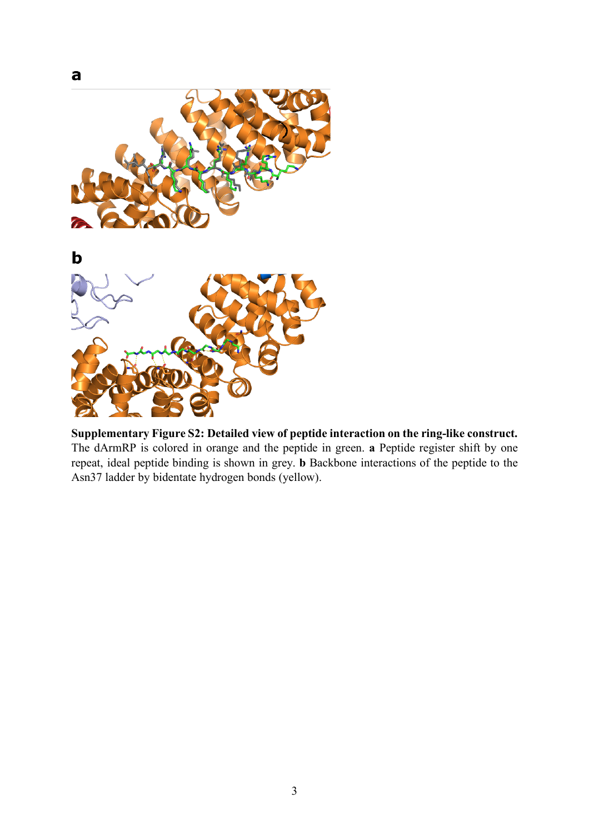

**Supplementary Figure S2: Detailed view of peptide interaction on the ring-like construct.**  The dArmRP is colored in orange and the peptide in green. **a** Peptide register shift by one repeat, ideal peptide binding is shown in grey. **b** Backbone interactions of the peptide to the Asn37 ladder by bidentate hydrogen bonds (yellow).